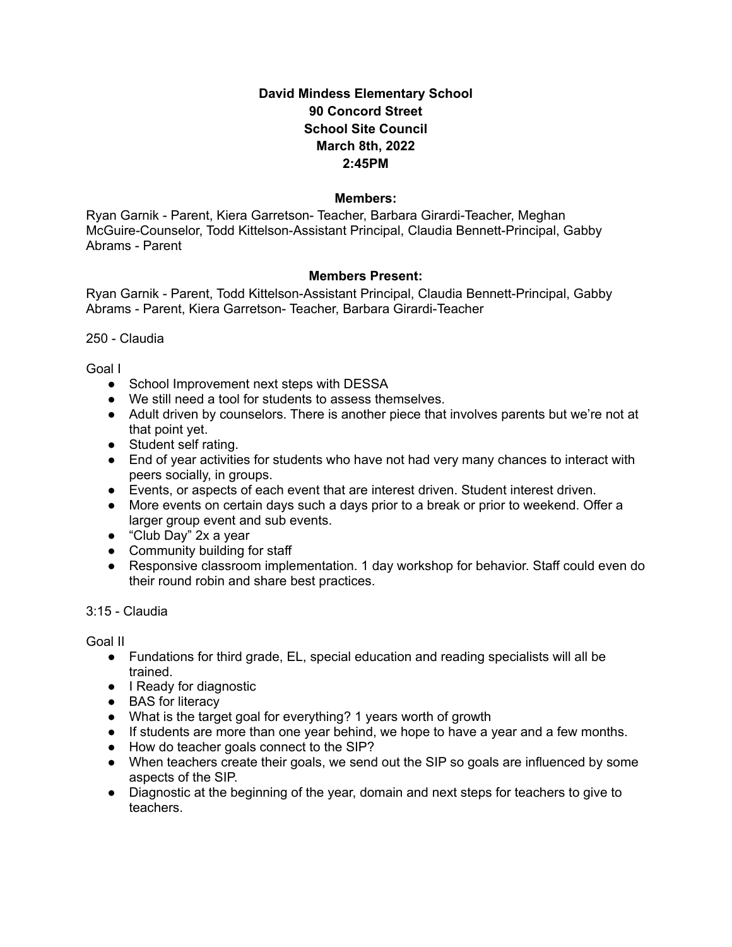# **David Mindess Elementary School 90 Concord Street School Site Council March 8th, 2022 2:45PM**

#### **Members:**

Ryan Garnik - Parent, Kiera Garretson- Teacher, Barbara Girardi-Teacher, Meghan McGuire-Counselor, Todd Kittelson-Assistant Principal, Claudia Bennett-Principal, Gabby Abrams - Parent

#### **Members Present:**

Ryan Garnik - Parent, Todd Kittelson-Assistant Principal, Claudia Bennett-Principal, Gabby Abrams - Parent, Kiera Garretson- Teacher, Barbara Girardi-Teacher

250 - Claudia

Goal I

- School Improvement next steps with DESSA
- We still need a tool for students to assess themselves.
- Adult driven by counselors. There is another piece that involves parents but we're not at that point yet.
- Student self rating.
- End of year activities for students who have not had very many chances to interact with peers socially, in groups.
- Events, or aspects of each event that are interest driven. Student interest driven.
- More events on certain days such a days prior to a break or prior to weekend. Offer a larger group event and sub events.
- "Club Day" 2x a year
- Community building for staff
- Responsive classroom implementation. 1 day workshop for behavior. Staff could even do their round robin and share best practices.

3:15 - Claudia

Goal II

- Fundations for third grade, EL, special education and reading specialists will all be trained.
- I Ready for diagnostic
- BAS for literacy
- What is the target goal for everything? 1 years worth of growth
- If students are more than one year behind, we hope to have a year and a few months.
- How do teacher goals connect to the SIP?
- When teachers create their goals, we send out the SIP so goals are influenced by some aspects of the SIP.
- Diagnostic at the beginning of the year, domain and next steps for teachers to give to teachers.